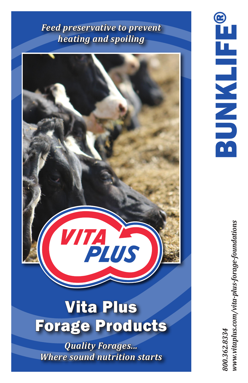# *Feed preservative to prevent heating and spoiling*



# Vita Plus Forage Products

*Quality Forages... Where sound nutrition starts*

www.vitaplus.com/vita-plus-forage-foundations *800.362.8334 www.vitaplus.com/vita-plus-forage-foundations*800.362.8334

BUNKLIFE®

**BUNKLIFI**